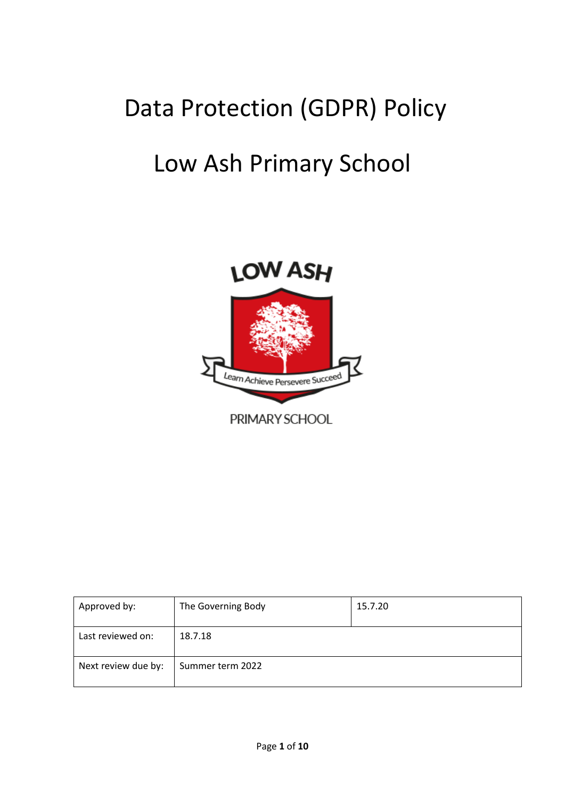# Data Protection (GDPR) Policy

# Low Ash Primary School



| Approved by:        | The Governing Body | 15.7.20 |
|---------------------|--------------------|---------|
| Last reviewed on:   | 18.7.18            |         |
| Next review due by: | Summer term 2022   |         |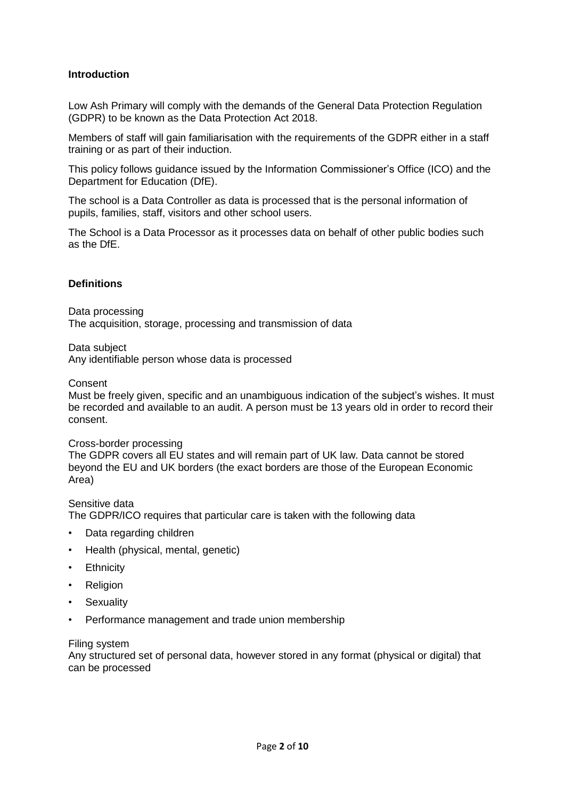## **Introduction**

Low Ash Primary will comply with the demands of the General Data Protection Regulation (GDPR) to be known as the Data Protection Act 2018.

Members of staff will gain familiarisation with the requirements of the GDPR either in a staff training or as part of their induction.

This policy follows guidance issued by the Information Commissioner's Office (ICO) and the Department for Education (DfE).

The school is a Data Controller as data is processed that is the personal information of pupils, families, staff, visitors and other school users.

The School is a Data Processor as it processes data on behalf of other public bodies such as the DfE.

## **Definitions**

Data processing The acquisition, storage, processing and transmission of data

Data subject

Any identifiable person whose data is processed

### Consent

Must be freely given, specific and an unambiguous indication of the subject's wishes. It must be recorded and available to an audit. A person must be 13 years old in order to record their consent.

### Cross-border processing

The GDPR covers all EU states and will remain part of UK law. Data cannot be stored beyond the EU and UK borders (the exact borders are those of the European Economic Area)

## Sensitive data

The GDPR/ICO requires that particular care is taken with the following data

- Data regarding children
- Health (physical, mental, genetic)
- **Ethnicity**
- Religion
- Sexuality
- Performance management and trade union membership

### Filing system

Any structured set of personal data, however stored in any format (physical or digital) that can be processed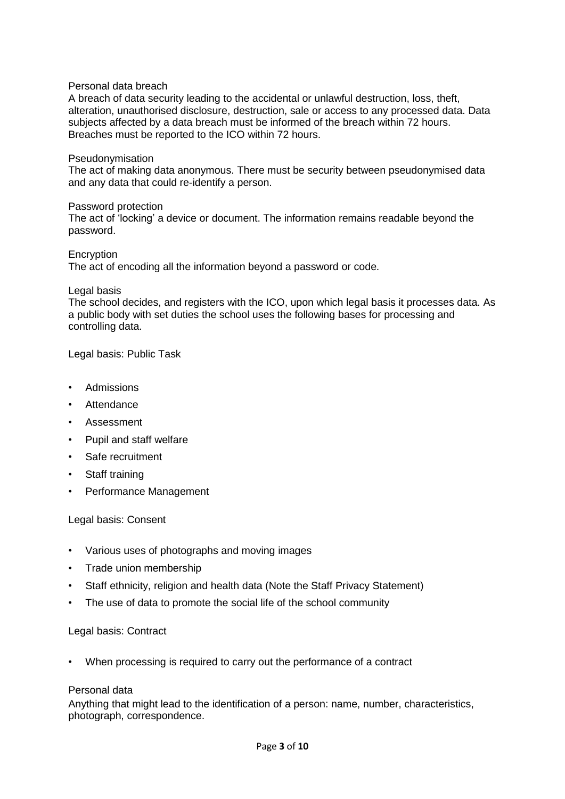## Personal data breach

A breach of data security leading to the accidental or unlawful destruction, loss, theft, alteration, unauthorised disclosure, destruction, sale or access to any processed data. Data subjects affected by a data breach must be informed of the breach within 72 hours. Breaches must be reported to the ICO within 72 hours.

## Pseudonymisation

The act of making data anonymous. There must be security between pseudonymised data and any data that could re-identify a person.

### Password protection

The act of 'locking' a device or document. The information remains readable beyond the password.

**Encryption** The act of encoding all the information beyond a password or code.

### Legal basis

The school decides, and registers with the ICO, upon which legal basis it processes data. As a public body with set duties the school uses the following bases for processing and controlling data.

Legal basis: Public Task

- Admissions
- Attendance
- Assessment
- Pupil and staff welfare
- Safe recruitment
- Staff training
- Performance Management

### Legal basis: Consent

- Various uses of photographs and moving images
- Trade union membership
- Staff ethnicity, religion and health data (Note the Staff Privacy Statement)
- The use of data to promote the social life of the school community

### Legal basis: Contract

• When processing is required to carry out the performance of a contract

### Personal data

Anything that might lead to the identification of a person: name, number, characteristics, photograph, correspondence.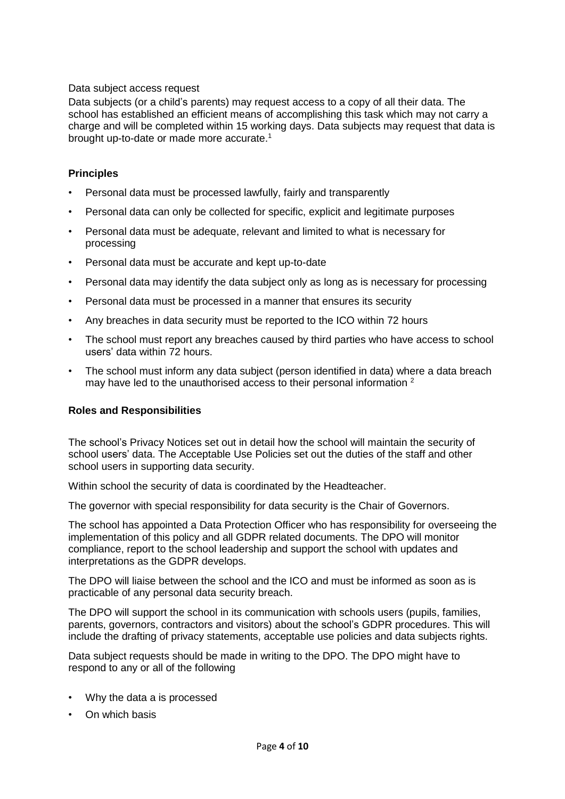## Data subject access request

Data subjects (or a child's parents) may request access to a copy of all their data. The school has established an efficient means of accomplishing this task which may not carry a charge and will be completed within 15 working days. Data subjects may request that data is brought up-to-date or made more accurate.<sup>1</sup>

## **Principles**

- Personal data must be processed lawfully, fairly and transparently
- Personal data can only be collected for specific, explicit and legitimate purposes
- Personal data must be adequate, relevant and limited to what is necessary for processing
- Personal data must be accurate and kept up-to-date
- Personal data may identify the data subject only as long as is necessary for processing
- Personal data must be processed in a manner that ensures its security
- Any breaches in data security must be reported to the ICO within 72 hours
- The school must report any breaches caused by third parties who have access to school users' data within 72 hours.
- The school must inform any data subject (person identified in data) where a data breach may have led to the unauthorised access to their personal information <sup>2</sup>

# **Roles and Responsibilities**

The school's Privacy Notices set out in detail how the school will maintain the security of school users' data. The Acceptable Use Policies set out the duties of the staff and other school users in supporting data security.

Within school the security of data is coordinated by the Headteacher.

The governor with special responsibility for data security is the Chair of Governors.

The school has appointed a Data Protection Officer who has responsibility for overseeing the implementation of this policy and all GDPR related documents. The DPO will monitor compliance, report to the school leadership and support the school with updates and interpretations as the GDPR develops.

The DPO will liaise between the school and the ICO and must be informed as soon as is practicable of any personal data security breach.

The DPO will support the school in its communication with schools users (pupils, families, parents, governors, contractors and visitors) about the school's GDPR procedures. This will include the drafting of privacy statements, acceptable use policies and data subjects rights.

Data subject requests should be made in writing to the DPO. The DPO might have to respond to any or all of the following

- Why the data a is processed
- On which basis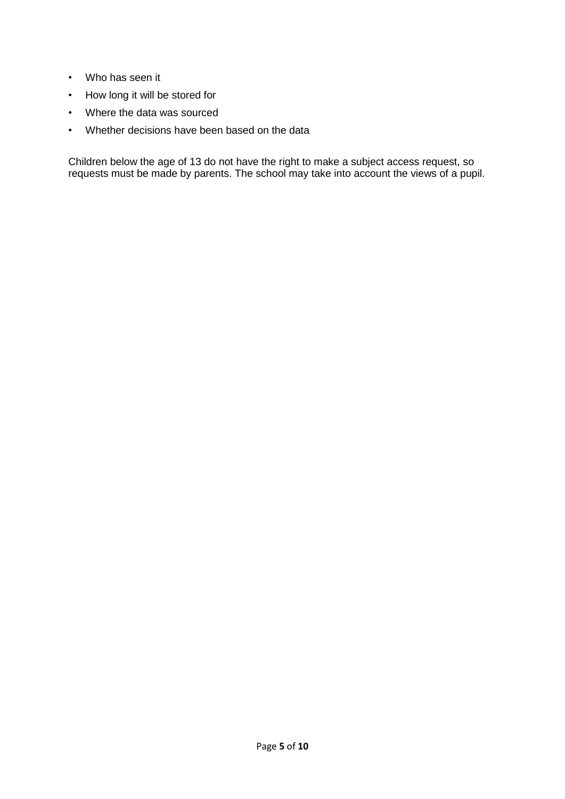- Who has seen it
- How long it will be stored for
- Where the data was sourced
- Whether decisions have been based on the data

Children below the age of 13 do not have the right to make a subject access request, so requests must be made by parents. The school may take into account the views of a pupil.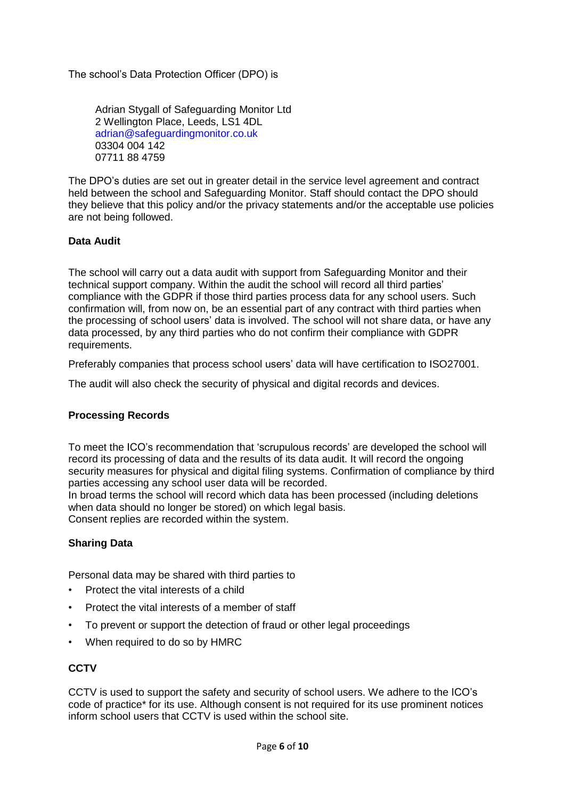The school's Data Protection Officer (DPO) is

Adrian Stygall of Safeguarding Monitor Ltd 2 Wellington Place, Leeds, LS1 4DL [adrian@safeguardingmonitor.co.uk](mailto:adrian@safeguardingmonitor.co.uk) 03304 004 142 07711 88 4759

The DPO's duties are set out in greater detail in the service level agreement and contract held between the school and Safeguarding Monitor. Staff should contact the DPO should they believe that this policy and/or the privacy statements and/or the acceptable use policies are not being followed.

## **Data Audit**

The school will carry out a data audit with support from Safeguarding Monitor and their technical support company. Within the audit the school will record all third parties' compliance with the GDPR if those third parties process data for any school users. Such confirmation will, from now on, be an essential part of any contract with third parties when the processing of school users' data is involved. The school will not share data, or have any data processed, by any third parties who do not confirm their compliance with GDPR requirements.

Preferably companies that process school users' data will have certification to ISO27001.

The audit will also check the security of physical and digital records and devices.

# **Processing Records**

To meet the ICO's recommendation that 'scrupulous records' are developed the school will record its processing of data and the results of its data audit. It will record the ongoing security measures for physical and digital filing systems. Confirmation of compliance by third parties accessing any school user data will be recorded.

In broad terms the school will record which data has been processed (including deletions when data should no longer be stored) on which legal basis. Consent replies are recorded within the system.

## **Sharing Data**

Personal data may be shared with third parties to

- Protect the vital interests of a child
- Protect the vital interests of a member of staff
- To prevent or support the detection of fraud or other legal proceedings
- When required to do so by HMRC

# **CCTV**

CCTV is used to support the safety and security of school users. We adhere to the ICO's code of practice\* for its use. Although consent is not required for its use prominent notices inform school users that CCTV is used within the school site.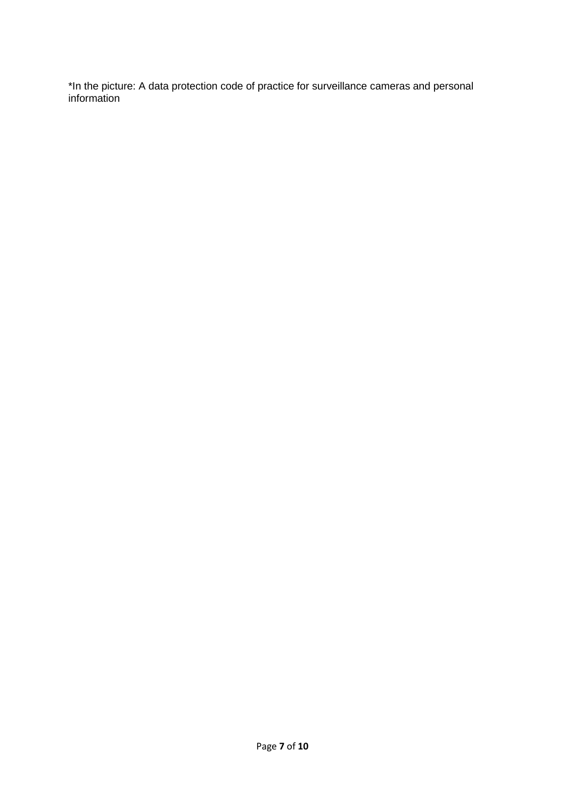\*In the picture: A data protection code of practice for surveillance cameras and personal information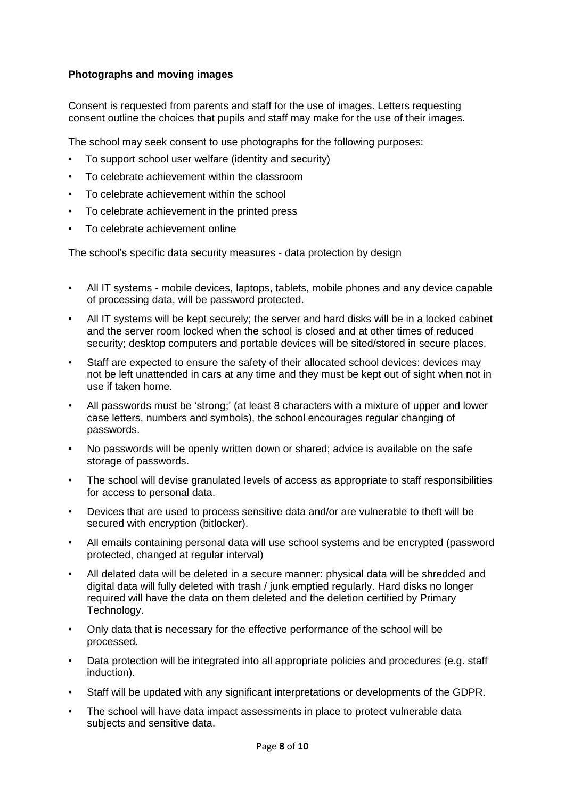## **Photographs and moving images**

Consent is requested from parents and staff for the use of images. Letters requesting consent outline the choices that pupils and staff may make for the use of their images.

The school may seek consent to use photographs for the following purposes:

- To support school user welfare (identity and security)
- To celebrate achievement within the classroom
- To celebrate achievement within the school
- To celebrate achievement in the printed press
- To celebrate achievement online

The school's specific data security measures - data protection by design

- All IT systems mobile devices, laptops, tablets, mobile phones and any device capable of processing data, will be password protected.
- All IT systems will be kept securely; the server and hard disks will be in a locked cabinet and the server room locked when the school is closed and at other times of reduced security; desktop computers and portable devices will be sited/stored in secure places.
- Staff are expected to ensure the safety of their allocated school devices: devices may not be left unattended in cars at any time and they must be kept out of sight when not in use if taken home.
- All passwords must be 'strong;' (at least 8 characters with a mixture of upper and lower case letters, numbers and symbols), the school encourages regular changing of passwords.
- No passwords will be openly written down or shared; advice is available on the safe storage of passwords.
- The school will devise granulated levels of access as appropriate to staff responsibilities for access to personal data.
- Devices that are used to process sensitive data and/or are vulnerable to theft will be secured with encryption (bitlocker).
- All emails containing personal data will use school systems and be encrypted (password protected, changed at regular interval)
- All delated data will be deleted in a secure manner: physical data will be shredded and digital data will fully deleted with trash / junk emptied regularly. Hard disks no longer required will have the data on them deleted and the deletion certified by Primary Technology.
- Only data that is necessary for the effective performance of the school will be processed.
- Data protection will be integrated into all appropriate policies and procedures (e.g. staff induction).
- Staff will be updated with any significant interpretations or developments of the GDPR.
- The school will have data impact assessments in place to protect vulnerable data subjects and sensitive data.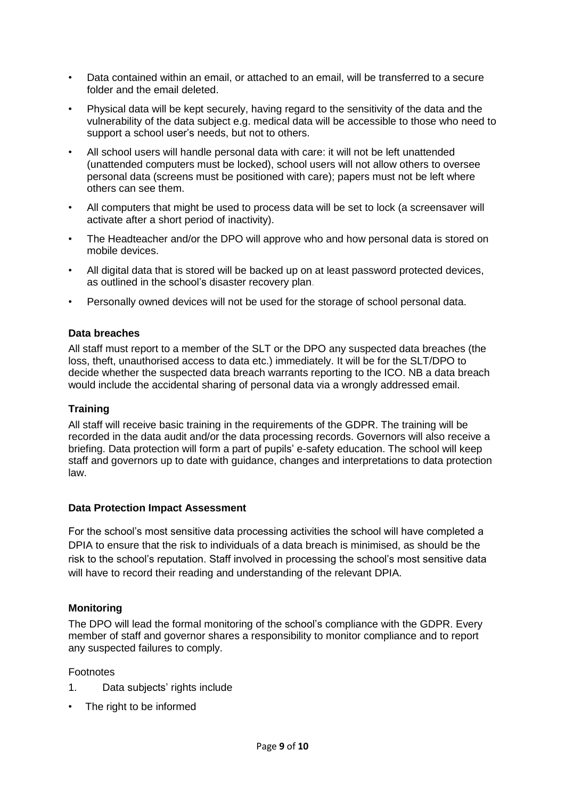- Data contained within an email, or attached to an email, will be transferred to a secure folder and the email deleted.
- Physical data will be kept securely, having regard to the sensitivity of the data and the vulnerability of the data subject e.g. medical data will be accessible to those who need to support a school user's needs, but not to others.
- All school users will handle personal data with care: it will not be left unattended (unattended computers must be locked), school users will not allow others to oversee personal data (screens must be positioned with care); papers must not be left where others can see them.
- All computers that might be used to process data will be set to lock (a screensaver will activate after a short period of inactivity).
- The Headteacher and/or the DPO will approve who and how personal data is stored on mobile devices.
- All digital data that is stored will be backed up on at least password protected devices, as outlined in the school's disaster recovery plan.
- Personally owned devices will not be used for the storage of school personal data.

## **Data breaches**

All staff must report to a member of the SLT or the DPO any suspected data breaches (the loss, theft, unauthorised access to data etc.) immediately. It will be for the SLT/DPO to decide whether the suspected data breach warrants reporting to the ICO. NB a data breach would include the accidental sharing of personal data via a wrongly addressed email.

## **Training**

All staff will receive basic training in the requirements of the GDPR. The training will be recorded in the data audit and/or the data processing records. Governors will also receive a briefing. Data protection will form a part of pupils' e-safety education. The school will keep staff and governors up to date with guidance, changes and interpretations to data protection law.

### **Data Protection Impact Assessment**

For the school's most sensitive data processing activities the school will have completed a DPIA to ensure that the risk to individuals of a data breach is minimised, as should be the risk to the school's reputation. Staff involved in processing the school's most sensitive data will have to record their reading and understanding of the relevant DPIA.

## **Monitoring**

The DPO will lead the formal monitoring of the school's compliance with the GDPR. Every member of staff and governor shares a responsibility to monitor compliance and to report any suspected failures to comply.

### Footnotes

- 1. Data subjects' rights include
- The right to be informed